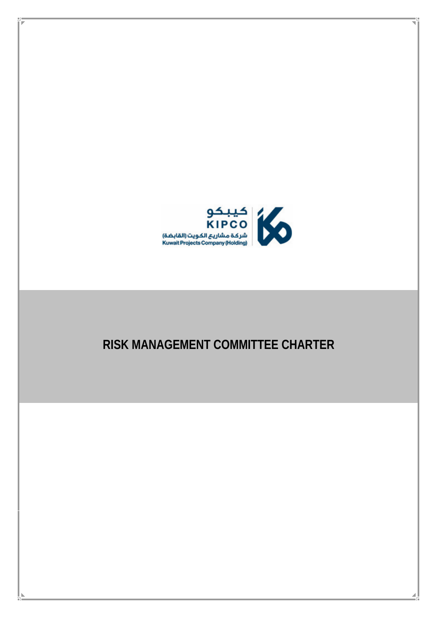

# **RISK MANAGEMENT COMMITTEE CHARTER**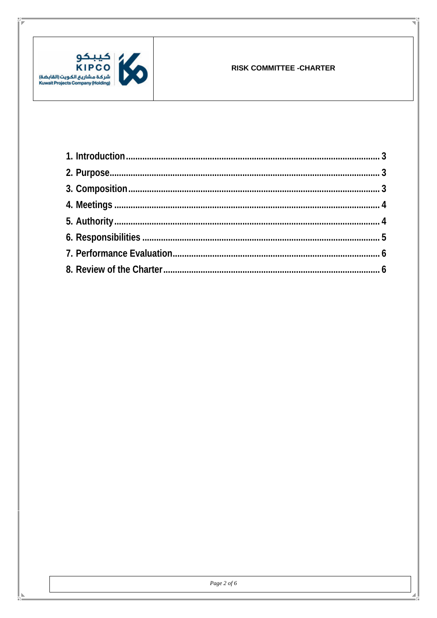

Ľ.

#### **RISK COMMITTEE - CHARTER**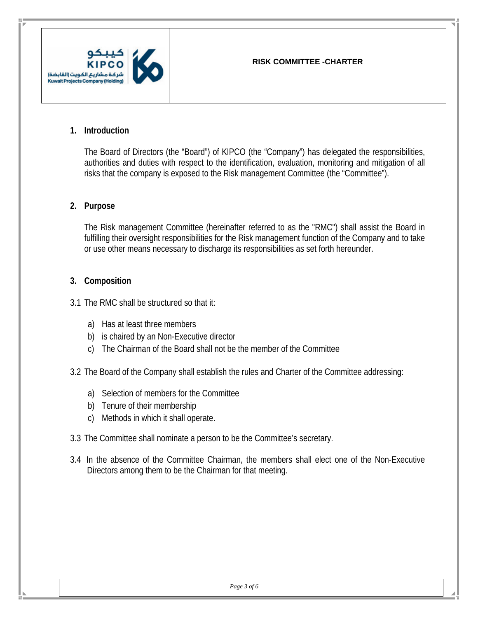

#### **1. Introduction**

<span id="page-2-0"></span>The Board of Directors (the "Board") of KIPCO (the "Company") has delegated the responsibilities, authorities and duties with respect to the identification, evaluation, monitoring and mitigation of all risks that the company is exposed to the Risk management Committee (the "Committee").

## **2. Purpose**

<span id="page-2-1"></span>The Risk management Committee (hereinafter referred to as the "RMC") shall assist the Board in fulfilling their oversight responsibilities for the Risk management function of the Company and to take or use other means necessary to discharge its responsibilities as set forth hereunder.

## **3. Composition**

<span id="page-2-2"></span>3.1 The RMC shall be structured so that it:

- a) Has at least three members
- b) is chaired by an Non-Executive director
- c) The Chairman of the Board shall not be the member of the Committee
- 3.2 The Board of the Company shall establish the rules and Charter of the Committee addressing:
	- a) Selection of members for the Committee
	- b) Tenure of their membership
	- c) Methods in which it shall operate.
- 3.3 The Committee shall nominate a person to be the Committee's secretary.
- 3.4 In the absence of the Committee Chairman, the members shall elect one of the Non-Executive Directors among them to be the Chairman for that meeting.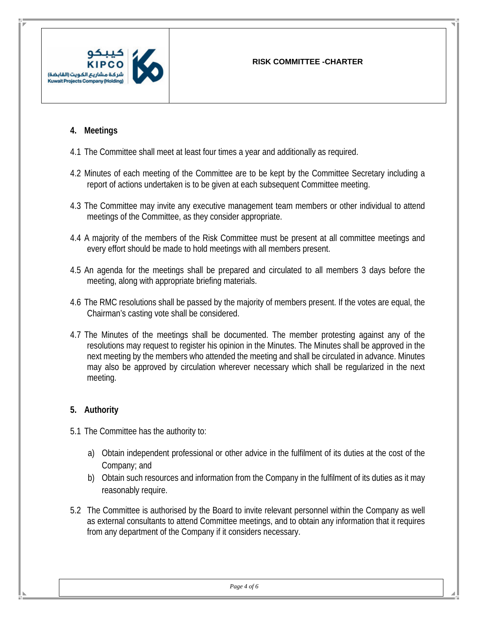

## **4. Meetings**

- 4.1 The Committee shall meet at least four times a year and additionally as required.
- <span id="page-3-0"></span>4.2 Minutes of each meeting of the Committee are to be kept by the Committee Secretary including a report of actions undertaken is to be given at each subsequent Committee meeting.
- 4.3 The Committee may invite any executive management team members or other individual to attend meetings of the Committee, as they consider appropriate.
- 4.4 A majority of the members of the Risk Committee must be present at all committee meetings and every effort should be made to hold meetings with all members present.
- 4.5 An agenda for the meetings shall be prepared and circulated to all members 3 days before the meeting, along with appropriate briefing materials.
- 4.6 The RMC resolutions shall be passed by the majority of members present. If the votes are equal, the Chairman's casting vote shall be considered.
- 4.7 The Minutes of the meetings shall be documented. The member protesting against any of the resolutions may request to register his opinion in the Minutes. The Minutes shall be approved in the next meeting by the members who attended the meeting and shall be circulated in advance. Minutes may also be approved by circulation wherever necessary which shall be regularized in the next meeting.

## **5. Authority**

- <span id="page-3-1"></span>5.1 The Committee has the authority to:
	- a) Obtain independent professional or other advice in the fulfilment of its duties at the cost of the Company; and
	- b) Obtain such resources and information from the Company in the fulfilment of its duties as it may reasonably require.
- 5.2 The Committee is authorised by the Board to invite relevant personnel within the Company as well as external consultants to attend Committee meetings, and to obtain any information that it requires from any department of the Company if it considers necessary.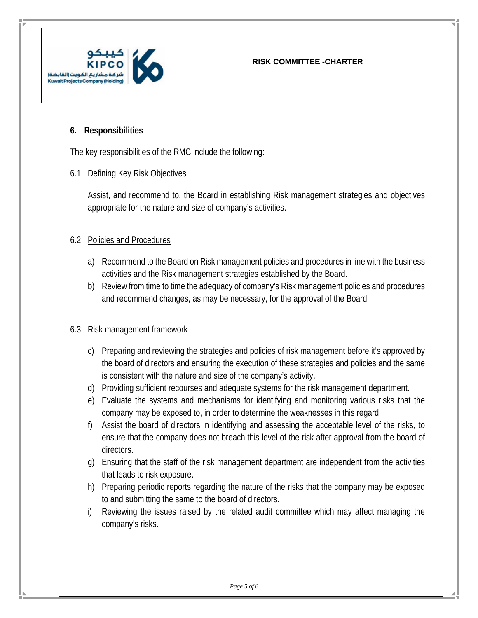

## **6. Responsibilities**

The key responsibilities of the RMC include the following:

## <span id="page-4-0"></span>6.1 Defining Key Risk Objectives

Assist, and recommend to, the Board in establishing Risk management strategies and objectives appropriate for the nature and size of company's activities.

## 6.2 Policies and Procedures

- a) Recommend to the Board on Risk management policies and procedures in line with the business activities and the Risk management strategies established by the Board.
- b) Review from time to time the adequacy of company's Risk management policies and procedures and recommend changes, as may be necessary, for the approval of the Board.

## 6.3 Risk management framework

- c) Preparing and reviewing the strategies and policies of risk management before it's approved by the board of directors and ensuring the execution of these strategies and policies and the same is consistent with the nature and size of the company's activity.
- d) Providing sufficient recourses and adequate systems for the risk management department.
- e) Evaluate the systems and mechanisms for identifying and monitoring various risks that the company may be exposed to, in order to determine the weaknesses in this regard.
- f) Assist the board of directors in identifying and assessing the acceptable level of the risks, to ensure that the company does not breach this level of the risk after approval from the board of directors.
- g) Ensuring that the staff of the risk management department are independent from the activities that leads to risk exposure.
- h) Preparing periodic reports regarding the nature of the risks that the company may be exposed to and submitting the same to the board of directors.
- i) Reviewing the issues raised by the related audit committee which may affect managing the company's risks.